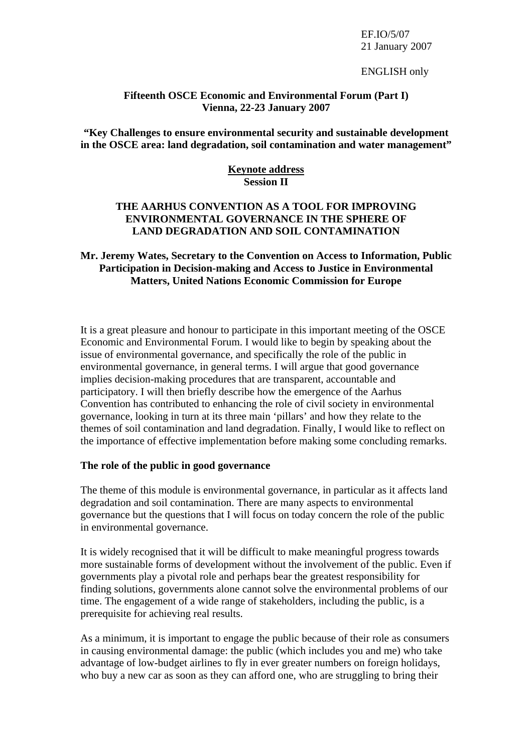### EF.IO/5/07 21 January 2007

ENGLISH only

#### **Fifteenth OSCE Economic and Environmental Forum (Part I) Vienna, 22-23 January 2007**

**"Key Challenges to ensure environmental security and sustainable development in the OSCE area: land degradation, soil contamination and water management"** 

# **Keynote address Session II**

## **THE AARHUS CONVENTION AS A TOOL FOR IMPROVING ENVIRONMENTAL GOVERNANCE IN THE SPHERE OF LAND DEGRADATION AND SOIL CONTAMINATION**

### **Mr. Jeremy Wates, Secretary to the Convention on Access to Information, Public Participation in Decision-making and Access to Justice in Environmental Matters, United Nations Economic Commission for Europe**

It is a great pleasure and honour to participate in this important meeting of the OSCE Economic and Environmental Forum. I would like to begin by speaking about the issue of environmental governance, and specifically the role of the public in environmental governance, in general terms. I will argue that good governance implies decision-making procedures that are transparent, accountable and participatory. I will then briefly describe how the emergence of the Aarhus Convention has contributed to enhancing the role of civil society in environmental governance, looking in turn at its three main 'pillars' and how they relate to the themes of soil contamination and land degradation. Finally, I would like to reflect on the importance of effective implementation before making some concluding remarks.

### **The role of the public in good governance**

The theme of this module is environmental governance, in particular as it affects land degradation and soil contamination. There are many aspects to environmental governance but the questions that I will focus on today concern the role of the public in environmental governance.

It is widely recognised that it will be difficult to make meaningful progress towards more sustainable forms of development without the involvement of the public. Even if governments play a pivotal role and perhaps bear the greatest responsibility for finding solutions, governments alone cannot solve the environmental problems of our time. The engagement of a wide range of stakeholders, including the public, is a prerequisite for achieving real results.

As a minimum, it is important to engage the public because of their role as consumers in causing environmental damage: the public (which includes you and me) who take advantage of low-budget airlines to fly in ever greater numbers on foreign holidays, who buy a new car as soon as they can afford one, who are struggling to bring their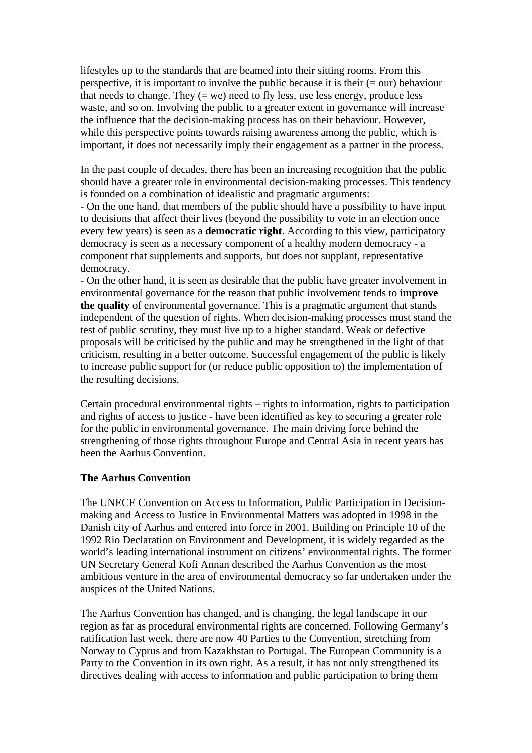lifestyles up to the standards that are beamed into their sitting rooms. From this perspective, it is important to involve the public because it is their  $(= our)$  behaviour that needs to change. They  $(= we)$  need to fly less, use less energy, produce less waste, and so on. Involving the public to a greater extent in governance will increase the influence that the decision-making process has on their behaviour. However, while this perspective points towards raising awareness among the public, which is important, it does not necessarily imply their engagement as a partner in the process.

In the past couple of decades, there has been an increasing recognition that the public should have a greater role in environmental decision-making processes. This tendency is founded on a combination of idealistic and pragmatic arguments:

- On the one hand, that members of the public should have a possibility to have input to decisions that affect their lives (beyond the possibility to vote in an election once every few years) is seen as a **democratic right**. According to this view, participatory democracy is seen as a necessary component of a healthy modern democracy - a component that supplements and supports, but does not supplant, representative democracy.

- On the other hand, it is seen as desirable that the public have greater involvement in environmental governance for the reason that public involvement tends to **improve the quality** of environmental governance. This is a pragmatic argument that stands independent of the question of rights. When decision-making processes must stand the test of public scrutiny, they must live up to a higher standard. Weak or defective proposals will be criticised by the public and may be strengthened in the light of that criticism, resulting in a better outcome. Successful engagement of the public is likely to increase public support for (or reduce public opposition to) the implementation of the resulting decisions.

Certain procedural environmental rights – rights to information, rights to participation and rights of access to justice - have been identified as key to securing a greater role for the public in environmental governance. The main driving force behind the strengthening of those rights throughout Europe and Central Asia in recent years has been the Aarhus Convention.

### **The Aarhus Convention**

The UNECE Convention on Access to Information, Public Participation in Decisionmaking and Access to Justice in Environmental Matters was adopted in 1998 in the Danish city of Aarhus and entered into force in 2001. Building on Principle 10 of the 1992 Rio Declaration on Environment and Development, it is widely regarded as the world's leading international instrument on citizens' environmental rights. The former UN Secretary General Kofi Annan described the Aarhus Convention as the most ambitious venture in the area of environmental democracy so far undertaken under the auspices of the United Nations.

The Aarhus Convention has changed, and is changing, the legal landscape in our region as far as procedural environmental rights are concerned. Following Germany's ratification last week, there are now 40 Parties to the Convention, stretching from Norway to Cyprus and from Kazakhstan to Portugal. The European Community is a Party to the Convention in its own right. As a result, it has not only strengthened its directives dealing with access to information and public participation to bring them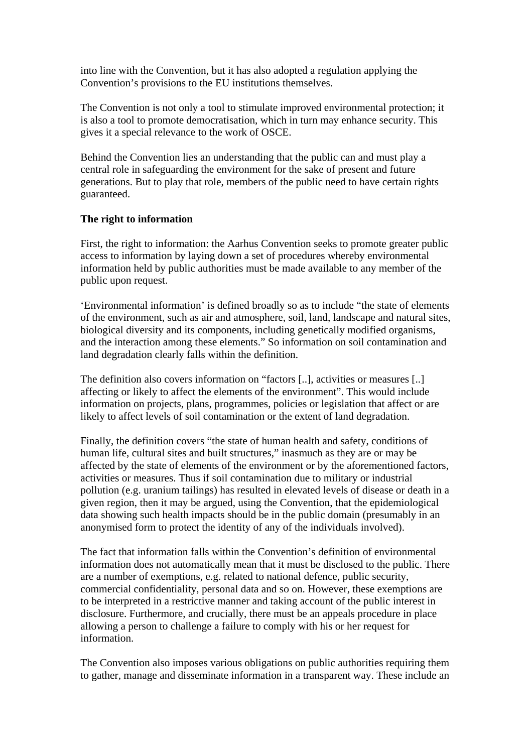into line with the Convention, but it has also adopted a regulation applying the Convention's provisions to the EU institutions themselves.

The Convention is not only a tool to stimulate improved environmental protection; it is also a tool to promote democratisation, which in turn may enhance security. This gives it a special relevance to the work of OSCE.

Behind the Convention lies an understanding that the public can and must play a central role in safeguarding the environment for the sake of present and future generations. But to play that role, members of the public need to have certain rights guaranteed.

### **The right to information**

First, the right to information: the Aarhus Convention seeks to promote greater public access to information by laying down a set of procedures whereby environmental information held by public authorities must be made available to any member of the public upon request.

'Environmental information' is defined broadly so as to include "the state of elements of the environment, such as air and atmosphere, soil, land, landscape and natural sites, biological diversity and its components, including genetically modified organisms, and the interaction among these elements." So information on soil contamination and land degradation clearly falls within the definition.

The definition also covers information on "factors [..], activities or measures [..] affecting or likely to affect the elements of the environment". This would include information on projects, plans, programmes, policies or legislation that affect or are likely to affect levels of soil contamination or the extent of land degradation.

Finally, the definition covers "the state of human health and safety, conditions of human life, cultural sites and built structures," inasmuch as they are or may be affected by the state of elements of the environment or by the aforementioned factors, activities or measures. Thus if soil contamination due to military or industrial pollution (e.g. uranium tailings) has resulted in elevated levels of disease or death in a given region, then it may be argued, using the Convention, that the epidemiological data showing such health impacts should be in the public domain (presumably in an anonymised form to protect the identity of any of the individuals involved).

The fact that information falls within the Convention's definition of environmental information does not automatically mean that it must be disclosed to the public. There are a number of exemptions, e.g. related to national defence, public security, commercial confidentiality, personal data and so on. However, these exemptions are to be interpreted in a restrictive manner and taking account of the public interest in disclosure. Furthermore, and crucially, there must be an appeals procedure in place allowing a person to challenge a failure to comply with his or her request for information.

The Convention also imposes various obligations on public authorities requiring them to gather, manage and disseminate information in a transparent way. These include an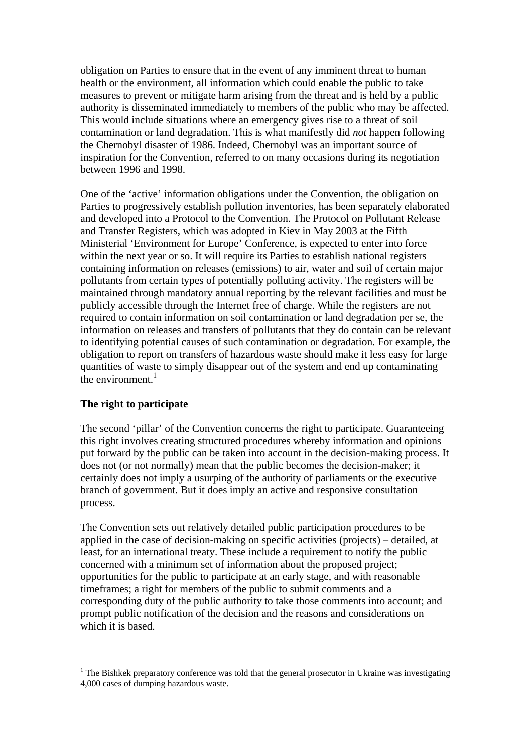obligation on Parties to ensure that in the event of any imminent threat to human health or the environment, all information which could enable the public to take measures to prevent or mitigate harm arising from the threat and is held by a public authority is disseminated immediately to members of the public who may be affected. This would include situations where an emergency gives rise to a threat of soil contamination or land degradation. This is what manifestly did *not* happen following the Chernobyl disaster of 1986. Indeed, Chernobyl was an important source of inspiration for the Convention, referred to on many occasions during its negotiation between 1996 and 1998.

One of the 'active' information obligations under the Convention, the obligation on Parties to progressively establish pollution inventories, has been separately elaborated and developed into a Protocol to the Convention. The Protocol on Pollutant Release and Transfer Registers, which was adopted in Kiev in May 2003 at the Fifth Ministerial 'Environment for Europe' Conference, is expected to enter into force within the next year or so. It will require its Parties to establish national registers containing information on releases (emissions) to air, water and soil of certain major pollutants from certain types of potentially polluting activity. The registers will be maintained through mandatory annual reporting by the relevant facilities and must be publicly accessible through the Internet free of charge. While the registers are not required to contain information on soil contamination or land degradation per se, the information on releases and transfers of pollutants that they do contain can be relevant to identifying potential causes of such contamination or degradation. For example, the obligation to report on transfers of hazardous waste should make it less easy for large quantities of waste to simply disappear out of the system and end up contaminating the environment. $1$ 

# **The right to participate**

 $\overline{a}$ 

The second 'pillar' of the Convention concerns the right to participate. Guaranteeing this right involves creating structured procedures whereby information and opinions put forward by the public can be taken into account in the decision-making process. It does not (or not normally) mean that the public becomes the decision-maker; it certainly does not imply a usurping of the authority of parliaments or the executive branch of government. But it does imply an active and responsive consultation process.

The Convention sets out relatively detailed public participation procedures to be applied in the case of decision-making on specific activities (projects) – detailed, at least, for an international treaty. These include a requirement to notify the public concerned with a minimum set of information about the proposed project; opportunities for the public to participate at an early stage, and with reasonable timeframes; a right for members of the public to submit comments and a corresponding duty of the public authority to take those comments into account; and prompt public notification of the decision and the reasons and considerations on which it is based.

<sup>&</sup>lt;sup>1</sup> The Bishkek preparatory conference was told that the general prosecutor in Ukraine was investigating 4,000 cases of dumping hazardous waste.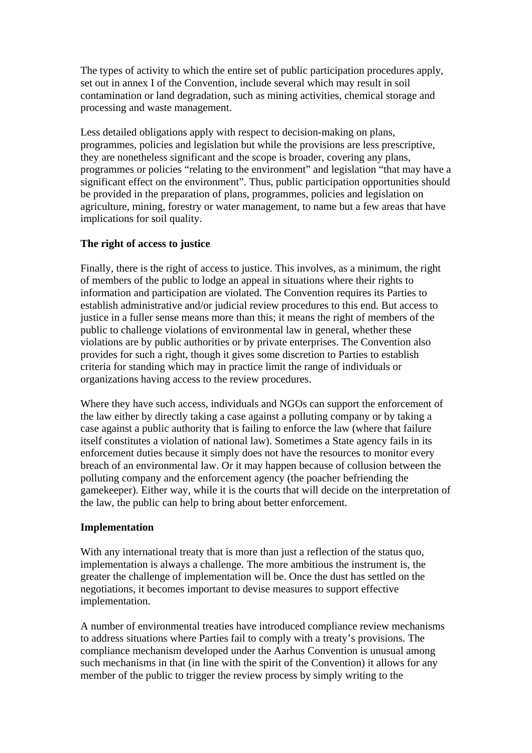The types of activity to which the entire set of public participation procedures apply, set out in annex I of the Convention, include several which may result in soil contamination or land degradation, such as mining activities, chemical storage and processing and waste management.

Less detailed obligations apply with respect to decision-making on plans, programmes, policies and legislation but while the provisions are less prescriptive, they are nonetheless significant and the scope is broader, covering any plans, programmes or policies "relating to the environment" and legislation "that may have a significant effect on the environment". Thus, public participation opportunities should be provided in the preparation of plans, programmes, policies and legislation on agriculture, mining, forestry or water management, to name but a few areas that have implications for soil quality.

### **The right of access to justice**

Finally, there is the right of access to justice. This involves, as a minimum, the right of members of the public to lodge an appeal in situations where their rights to information and participation are violated. The Convention requires its Parties to establish administrative and/or judicial review procedures to this end. But access to justice in a fuller sense means more than this; it means the right of members of the public to challenge violations of environmental law in general, whether these violations are by public authorities or by private enterprises. The Convention also provides for such a right, though it gives some discretion to Parties to establish criteria for standing which may in practice limit the range of individuals or organizations having access to the review procedures.

Where they have such access, individuals and NGOs can support the enforcement of the law either by directly taking a case against a polluting company or by taking a case against a public authority that is failing to enforce the law (where that failure itself constitutes a violation of national law). Sometimes a State agency fails in its enforcement duties because it simply does not have the resources to monitor every breach of an environmental law. Or it may happen because of collusion between the polluting company and the enforcement agency (the poacher befriending the gamekeeper). Either way, while it is the courts that will decide on the interpretation of the law, the public can help to bring about better enforcement.

### **Implementation**

With any international treaty that is more than just a reflection of the status quo, implementation is always a challenge. The more ambitious the instrument is, the greater the challenge of implementation will be. Once the dust has settled on the negotiations, it becomes important to devise measures to support effective implementation.

A number of environmental treaties have introduced compliance review mechanisms to address situations where Parties fail to comply with a treaty's provisions. The compliance mechanism developed under the Aarhus Convention is unusual among such mechanisms in that (in line with the spirit of the Convention) it allows for any member of the public to trigger the review process by simply writing to the